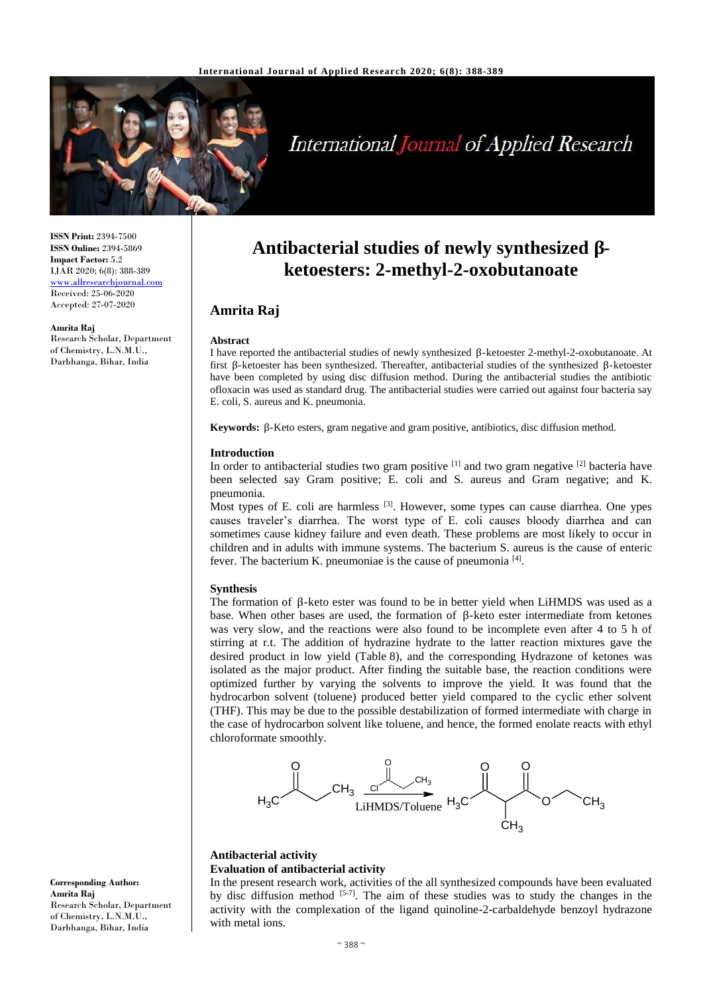

# **International Journal of Applied Research**

**ISSN Print:** 2394-7500 **ISSN Online:** 2394-5869 **Impact Factor:** 5.2 IJAR 2020; 6(8): 388-389 www.allresearchjournal.com Received: 25-06-2020 Accepted: 27-07-2020

**Amrita Raj** Research Scholar, Department of Chemistry, L.N.M.U., Darbhanga, Bihar, India

## **Antibacterial studies of newly synthesized βketoesters: 2-methyl-2-oxobutanoate**

### **Amrita Raj**

#### **Abstract**

I have reported the antibacterial studies of newly synthesized β-ketoester 2-methyl-2-oxobutanoate. At first β-ketoester has been synthesized. Thereafter, antibacterial studies of the synthesized β-ketoester have been completed by using disc diffusion method. During the antibacterial studies the antibiotic ofloxacin was used as standard drug. The antibacterial studies were carried out against four bacteria say E. coli, S. aureus and K. pneumonia.

**Keywords:** β-Keto esters, gram negative and gram positive, antibiotics, disc diffusion method.

#### **Introduction**

In order to antibacterial studies two gram positive <sup>[1]</sup> and two gram negative <sup>[2]</sup> bacteria have been selected say Gram positive; E. coli and S. aureus and Gram negative; and K. pneumonia.

Most types of E. coli are harmless <sup>[3]</sup>. However, some types can cause diarrhea. One ypes causes traveler's diarrhea. The worst type of E. coli causes bloody diarrhea and can sometimes cause kidney failure and even death. These problems are most likely to occur in children and in adults with immune systems. The bacterium S. aureus is the cause of enteric fever. The bacterium K. pneumoniae is the cause of pneumonia [4].

#### **Synthesis**

The formation of β-keto ester was found to be in better yield when LiHMDS was used as a base. When other bases are used, the formation of β-keto ester intermediate from ketones was very slow, and the reactions were also found to be incomplete even after 4 to 5 h of stirring at r.t. The addition of hydrazine hydrate to the latter reaction mixtures gave the desired product in low yield (Table 8), and the corresponding Hydrazone of ketones was isolated as the major product. After finding the suitable base, the reaction conditions were optimized further by varying the solvents to improve the yield. It was found that the hydrocarbon solvent (toluene) produced better yield compared to the cyclic ether solvent (THF). This may be due to the possible destabilization of formed intermediate with charge in the case of hydrocarbon solvent like toluene, and hence, the formed enolate reacts with ethyl chloroformate smoothly.



#### **Antibacterial activity Evaluation of antibacterial activity**

In the present research work, activities of the all synthesized compounds have been evaluated by disc diffusion method  $[5-7]$ . The aim of these studies was to study the changes in the activity with the complexation of the ligand quinoline-2-carbaldehyde benzoyl hydrazone with metal ions.

**Corresponding Author: Amrita Raj** Research Scholar, Department of Chemistry, L.N.M.U., Darbhanga, Bihar, India